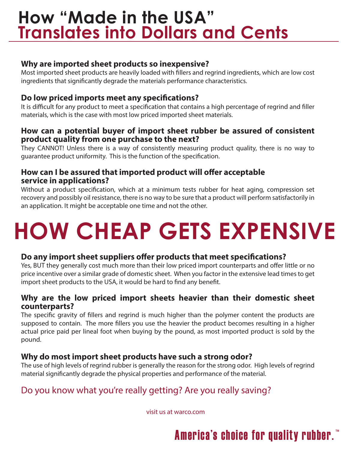# **How "Made in the USA" Translates into Dollars and Cents**

### **Why are imported sheet products so inexpensive?**

Most imported sheet products are heavily loaded with fillers and regrind ingredients, which are low cost ingredients that significantly degrade the materials performance characteristics.

### **Do low priced imports meet any specifications?**

It is difficult for any product to meet a specification that contains a high percentage of regrind and filler materials, which is the case with most low priced imported sheet materials.

#### **How can a potential buyer of import sheet rubber be assured of consistent product quality from one purchase to the next?**

They CANNOT! Unless there is a way of consistently measuring product quality, there is no way to guarantee product uniformity. This is the function of the specification.

#### **How can I be assured that imported product will offer acceptable service in applications?**

Without a product specification, which at a minimum tests rubber for heat aging, compression set recovery and possibly oil resistance, there is no way to be sure that a product will perform satisfactorily in an application. It might be acceptable one time and not the other.

# **HOW CHEAP GETS EXPENSIVE**

#### **Do any import sheet suppliers offer products that meet specifications?**

Yes, BUT they generally cost much more than their low priced import counterparts and offer little or no price incentive over a similar grade of domestic sheet. When you factor in the extensive lead times to get import sheet products to the USA, it would be hard to find any benefit.

#### **Why are the low priced import sheets heavier than their domestic sheet counterparts?**

The specific gravity of fillers and regrind is much higher than the polymer content the products are supposed to contain. The more fillers you use the heavier the product becomes resulting in a higher actual price paid per lineal foot when buying by the pound, as most imported product is sold by the pound.

#### **Why do most import sheet products have such a strong odor?**

The use of high levels of regrind rubber is generally the reason for the strong odor. High levels of regrind material significantly degrade the physical properties and performance of the material.

## Do you know what you're really getting? Are you really saving?

visit us at warco.com

# **America's choice for quality rubber.**